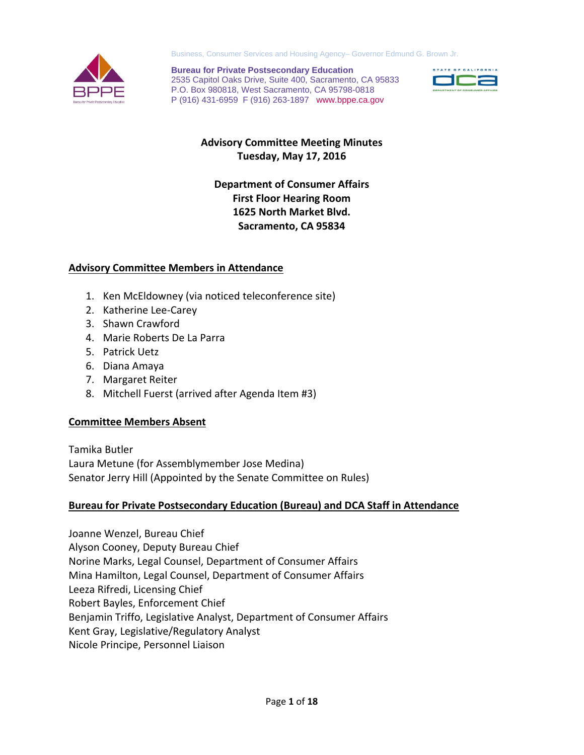

Business, Consumer Services and Housing Agency– Governor Edmund G. Brown Jr.

**Bureau for Private Postsecondary Education** 2535 Capitol Oaks Drive, Suite 400, Sacramento, CA 95833 P.O. Box 980818, West Sacramento, CA 95798-0818 P (916) 431-6959 F (916) 263-1897 www.bppe.ca.gov



# **Advisory Committee Meeting Minutes Tuesday, May 17, 2016**

# **Department of Consumer Affairs First Floor Hearing Room 1625 North Market Blvd. Sacramento, CA 95834**

## **Advisory Committee Members in Attendance**

- 1. Ken McEldowney (via noticed teleconference site)
- 2. Katherine Lee-Carey
- 3. Shawn Crawford
- 4. Marie Roberts De La Parra
- 5. Patrick Uetz
- 6. Diana Amaya
- 7. Margaret Reiter
- 8. Mitchell Fuerst (arrived after Agenda Item #3)

## **Committee Members Absent**

Tamika Butler Laura Metune (for Assemblymember Jose Medina) Senator Jerry Hill (Appointed by the Senate Committee on Rules)

## **Bureau for Private Postsecondary Education (Bureau) and DCA Staff in Attendance**

Joanne Wenzel, Bureau Chief Alyson Cooney, Deputy Bureau Chief Norine Marks, Legal Counsel, Department of Consumer Affairs Mina Hamilton, Legal Counsel, Department of Consumer Affairs Leeza Rifredi, Licensing Chief Robert Bayles, Enforcement Chief Benjamin Triffo, Legislative Analyst, Department of Consumer Affairs Kent Gray, Legislative/Regulatory Analyst Nicole Principe, Personnel Liaison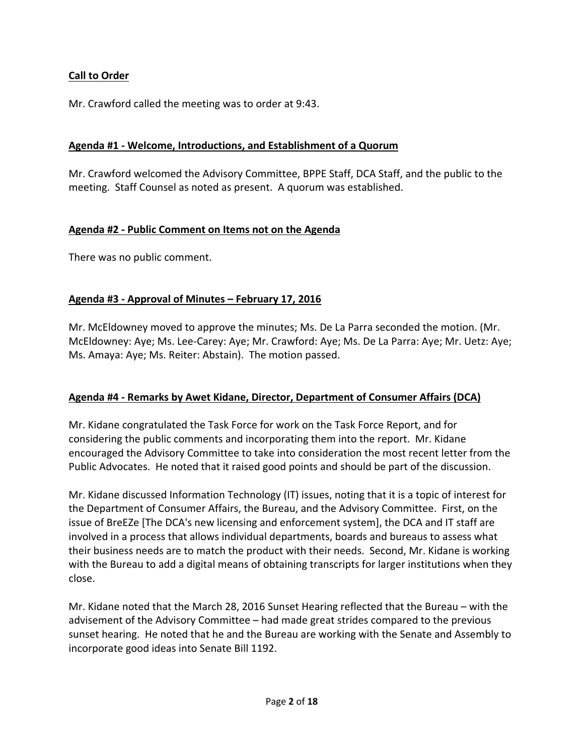## **Call to Order**

Mr. Crawford called the meeting was to order at 9:43.

#### **Agenda #1 - Welcome, Introductions, and Establishment of a Quorum**

Mr. Crawford welcomed the Advisory Committee, BPPE Staff, DCA Staff, and the public to the meeting. Staff Counsel as noted as present. A quorum was established.

#### **Agenda #2 - Public Comment on Items not on the Agenda**

There was no public comment.

#### **Agenda #3 - Approval of Minutes – February 17, 2016**

Mr. McEldowney moved to approve the minutes; Ms. De La Parra seconded the motion. (Mr. McEldowney: Aye; Ms. Lee-Carey: Aye; Mr. Crawford: Aye; Ms. De La Parra: Aye; Mr. Uetz: Aye; Ms. Amaya: Aye; Ms. Reiter: Abstain). The motion passed.

## **Agenda #4 - Remarks by Awet Kidane, Director, Department of Consumer Affairs (DCA)**

Mr. Kidane congratulated the Task Force for work on the Task Force Report, and for considering the public comments and incorporating them into the report. Mr. Kidane encouraged the Advisory Committee to take into consideration the most recent letter from the Public Advocates. He noted that it raised good points and should be part of the discussion.

Mr. Kidane discussed Information Technology (IT) issues, noting that it is a topic of interest for the Department of Consumer Affairs, the Bureau, and the Advisory Committee. First, on the issue of BreEZe [The DCA's new licensing and enforcement system], the DCA and IT staff are involved in a process that allows individual departments, boards and bureaus to assess what their business needs are to match the product with their needs. Second, Mr. Kidane is working with the Bureau to add a digital means of obtaining transcripts for larger institutions when they close.

Mr. Kidane noted that the March 28, 2016 Sunset Hearing reflected that the Bureau – with the advisement of the Advisory Committee – had made great strides compared to the previous sunset hearing. He noted that he and the Bureau are working with the Senate and Assembly to incorporate good ideas into Senate Bill 1192.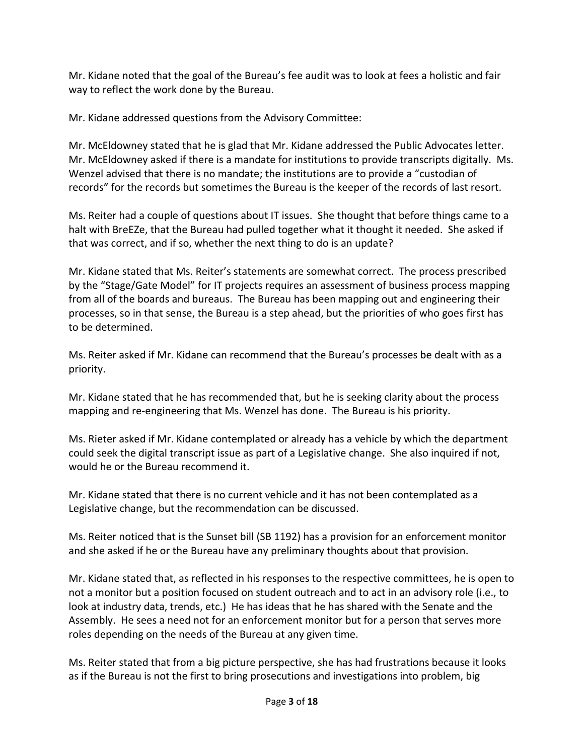Mr. Kidane noted that the goal of the Bureau's fee audit was to look at fees a holistic and fair way to reflect the work done by the Bureau.

Mr. Kidane addressed questions from the Advisory Committee:

Mr. McEldowney stated that he is glad that Mr. Kidane addressed the Public Advocates letter. Mr. McEldowney asked if there is a mandate for institutions to provide transcripts digitally. Ms. Wenzel advised that there is no mandate; the institutions are to provide a "custodian of records" for the records but sometimes the Bureau is the keeper of the records of last resort.

Ms. Reiter had a couple of questions about IT issues. She thought that before things came to a halt with BreEZe, that the Bureau had pulled together what it thought it needed. She asked if that was correct, and if so, whether the next thing to do is an update?

Mr. Kidane stated that Ms. Reiter's statements are somewhat correct. The process prescribed by the "Stage/Gate Model" for IT projects requires an assessment of business process mapping from all of the boards and bureaus. The Bureau has been mapping out and engineering their processes, so in that sense, the Bureau is a step ahead, but the priorities of who goes first has to be determined.

Ms. Reiter asked if Mr. Kidane can recommend that the Bureau's processes be dealt with as a priority.

Mr. Kidane stated that he has recommended that, but he is seeking clarity about the process mapping and re-engineering that Ms. Wenzel has done. The Bureau is his priority.

Ms. Rieter asked if Mr. Kidane contemplated or already has a vehicle by which the department could seek the digital transcript issue as part of a Legislative change. She also inquired if not, would he or the Bureau recommend it.

Mr. Kidane stated that there is no current vehicle and it has not been contemplated as a Legislative change, but the recommendation can be discussed.

Ms. Reiter noticed that is the Sunset bill (SB 1192) has a provision for an enforcement monitor and she asked if he or the Bureau have any preliminary thoughts about that provision.

Mr. Kidane stated that, as reflected in his responses to the respective committees, he is open to not a monitor but a position focused on student outreach and to act in an advisory role (i.e., to look at industry data, trends, etc.) He has ideas that he has shared with the Senate and the Assembly. He sees a need not for an enforcement monitor but for a person that serves more roles depending on the needs of the Bureau at any given time.

Ms. Reiter stated that from a big picture perspective, she has had frustrations because it looks as if the Bureau is not the first to bring prosecutions and investigations into problem, big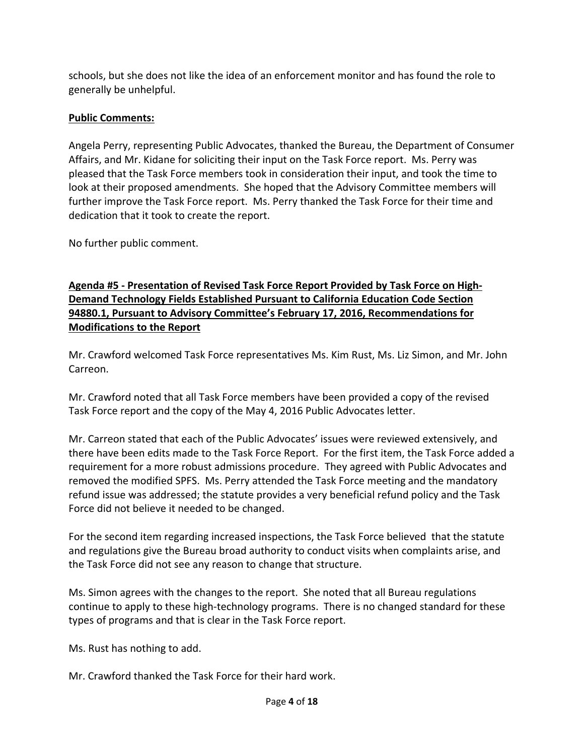schools, but she does not like the idea of an enforcement monitor and has found the role to generally be unhelpful.

# **Public Comments:**

Angela Perry, representing Public Advocates, thanked the Bureau, the Department of Consumer Affairs, and Mr. Kidane for soliciting their input on the Task Force report. Ms. Perry was pleased that the Task Force members took in consideration their input, and took the time to look at their proposed amendments. She hoped that the Advisory Committee members will further improve the Task Force report. Ms. Perry thanked the Task Force for their time and dedication that it took to create the report.

No further public comment.

**Agenda #5 - Presentation of Revised Task Force Report Provided by Task Force on High-Demand Technology Fields Established Pursuant to California Education Code Section 94880.1, Pursuant to Advisory Committee's February 17, 2016, Recommendations for Modifications to the Report**

Mr. Crawford welcomed Task Force representatives Ms. Kim Rust, Ms. Liz Simon, and Mr. John Carreon.

Mr. Crawford noted that all Task Force members have been provided a copy of the revised Task Force report and the copy of the May 4, 2016 Public Advocates letter.

Mr. Carreon stated that each of the Public Advocates' issues were reviewed extensively, and there have been edits made to the Task Force Report. For the first item, the Task Force added a requirement for a more robust admissions procedure. They agreed with Public Advocates and removed the modified SPFS. Ms. Perry attended the Task Force meeting and the mandatory refund issue was addressed; the statute provides a very beneficial refund policy and the Task Force did not believe it needed to be changed.

For the second item regarding increased inspections, the Task Force believed that the statute and regulations give the Bureau broad authority to conduct visits when complaints arise, and the Task Force did not see any reason to change that structure.

Ms. Simon agrees with the changes to the report. She noted that all Bureau regulations continue to apply to these high-technology programs. There is no changed standard for these types of programs and that is clear in the Task Force report.

Ms. Rust has nothing to add.

Mr. Crawford thanked the Task Force for their hard work.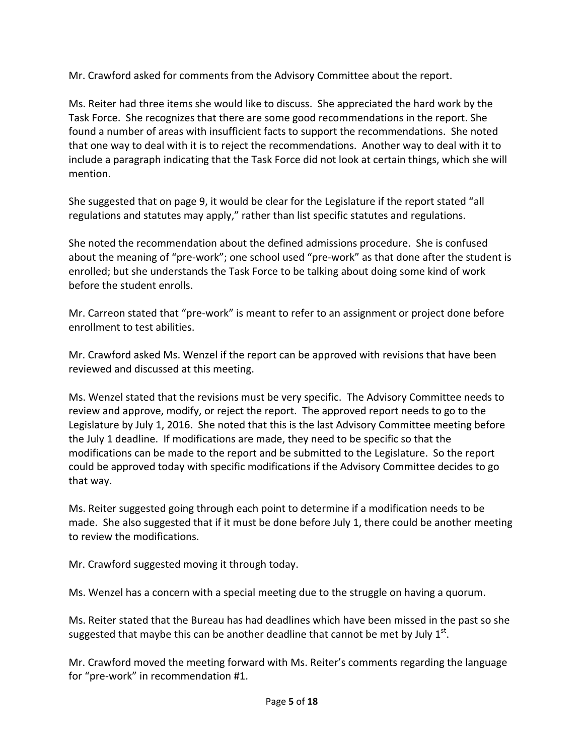Mr. Crawford asked for comments from the Advisory Committee about the report.

Ms. Reiter had three items she would like to discuss. She appreciated the hard work by the Task Force. She recognizes that there are some good recommendations in the report. She found a number of areas with insufficient facts to support the recommendations. She noted that one way to deal with it is to reject the recommendations. Another way to deal with it to include a paragraph indicating that the Task Force did not look at certain things, which she will mention.

She suggested that on page 9, it would be clear for the Legislature if the report stated "all regulations and statutes may apply," rather than list specific statutes and regulations.

She noted the recommendation about the defined admissions procedure. She is confused about the meaning of "pre-work"; one school used "pre-work" as that done after the student is enrolled; but she understands the Task Force to be talking about doing some kind of work before the student enrolls.

Mr. Carreon stated that "pre-work" is meant to refer to an assignment or project done before enrollment to test abilities.

Mr. Crawford asked Ms. Wenzel if the report can be approved with revisions that have been reviewed and discussed at this meeting.

Ms. Wenzel stated that the revisions must be very specific. The Advisory Committee needs to review and approve, modify, or reject the report. The approved report needs to go to the Legislature by July 1, 2016. She noted that this is the last Advisory Committee meeting before the July 1 deadline. If modifications are made, they need to be specific so that the modifications can be made to the report and be submitted to the Legislature. So the report could be approved today with specific modifications if the Advisory Committee decides to go that way.

Ms. Reiter suggested going through each point to determine if a modification needs to be made. She also suggested that if it must be done before July 1, there could be another meeting to review the modifications.

Mr. Crawford suggested moving it through today.

Ms. Wenzel has a concern with a special meeting due to the struggle on having a quorum.

Ms. Reiter stated that the Bureau has had deadlines which have been missed in the past so she suggested that maybe this can be another deadline that cannot be met by July  $1<sup>st</sup>$ .

Mr. Crawford moved the meeting forward with Ms. Reiter's comments regarding the language for "pre-work" in recommendation #1.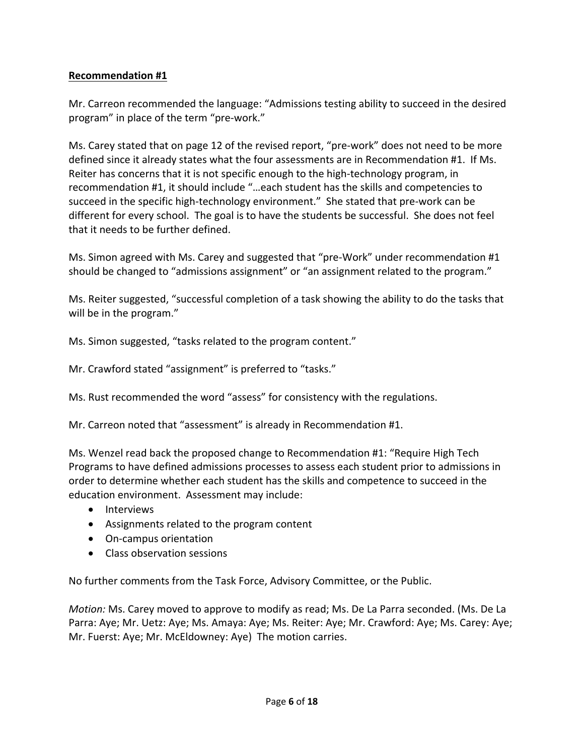## **Recommendation #1**

Mr. Carreon recommended the language: "Admissions testing ability to succeed in the desired program" in place of the term "pre-work."

Ms. Carey stated that on page 12 of the revised report, "pre-work" does not need to be more defined since it already states what the four assessments are in Recommendation #1. If Ms. Reiter has concerns that it is not specific enough to the high-technology program, in recommendation #1, it should include "…each student has the skills and competencies to succeed in the specific high-technology environment." She stated that pre-work can be different for every school. The goal is to have the students be successful. She does not feel that it needs to be further defined.

Ms. Simon agreed with Ms. Carey and suggested that "pre-Work" under recommendation #1 should be changed to "admissions assignment" or "an assignment related to the program."

Ms. Reiter suggested, "successful completion of a task showing the ability to do the tasks that will be in the program."

Ms. Simon suggested, "tasks related to the program content."

Mr. Crawford stated "assignment" is preferred to "tasks."

Ms. Rust recommended the word "assess" for consistency with the regulations.

Mr. Carreon noted that "assessment" is already in Recommendation #1.

Ms. Wenzel read back the proposed change to Recommendation #1: "Require High Tech Programs to have defined admissions processes to assess each student prior to admissions in order to determine whether each student has the skills and competence to succeed in the education environment. Assessment may include:

- Interviews
- Assignments related to the program content
- On-campus orientation
- Class observation sessions

No further comments from the Task Force, Advisory Committee, or the Public.

*Motion:* Ms. Carey moved to approve to modify as read; Ms. De La Parra seconded. (Ms. De La Parra: Aye; Mr. Uetz: Aye; Ms. Amaya: Aye; Ms. Reiter: Aye; Mr. Crawford: Aye; Ms. Carey: Aye; Mr. Fuerst: Aye; Mr. McEldowney: Aye) The motion carries.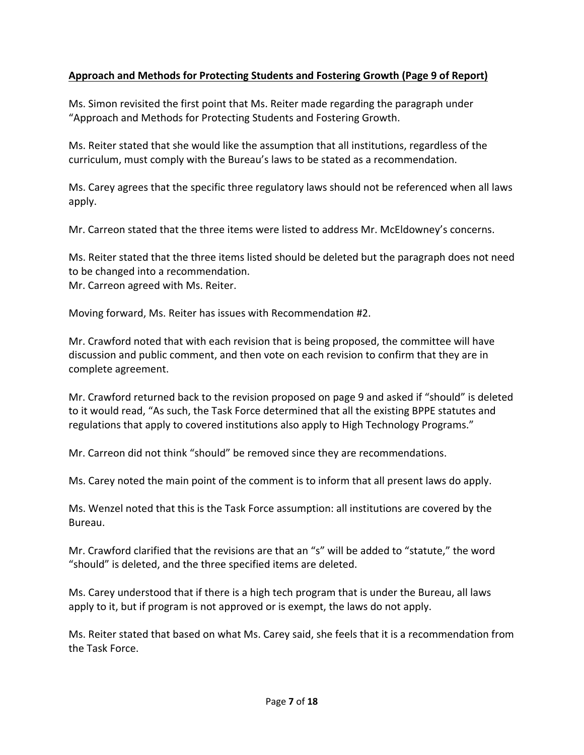## **Approach and Methods for Protecting Students and Fostering Growth (Page 9 of Report)**

Ms. Simon revisited the first point that Ms. Reiter made regarding the paragraph under "Approach and Methods for Protecting Students and Fostering Growth.

Ms. Reiter stated that she would like the assumption that all institutions, regardless of the curriculum, must comply with the Bureau's laws to be stated as a recommendation.

Ms. Carey agrees that the specific three regulatory laws should not be referenced when all laws apply.

Mr. Carreon stated that the three items were listed to address Mr. McEldowney's concerns.

Ms. Reiter stated that the three items listed should be deleted but the paragraph does not need to be changed into a recommendation. Mr. Carreon agreed with Ms. Reiter.

Moving forward, Ms. Reiter has issues with Recommendation #2.

Mr. Crawford noted that with each revision that is being proposed, the committee will have discussion and public comment, and then vote on each revision to confirm that they are in complete agreement.

Mr. Crawford returned back to the revision proposed on page 9 and asked if "should" is deleted to it would read, "As such, the Task Force determined that all the existing BPPE statutes and regulations that apply to covered institutions also apply to High Technology Programs."

Mr. Carreon did not think "should" be removed since they are recommendations.

Ms. Carey noted the main point of the comment is to inform that all present laws do apply.

Ms. Wenzel noted that this is the Task Force assumption: all institutions are covered by the Bureau.

Mr. Crawford clarified that the revisions are that an "s" will be added to "statute," the word "should" is deleted, and the three specified items are deleted.

Ms. Carey understood that if there is a high tech program that is under the Bureau, all laws apply to it, but if program is not approved or is exempt, the laws do not apply.

Ms. Reiter stated that based on what Ms. Carey said, she feels that it is a recommendation from the Task Force.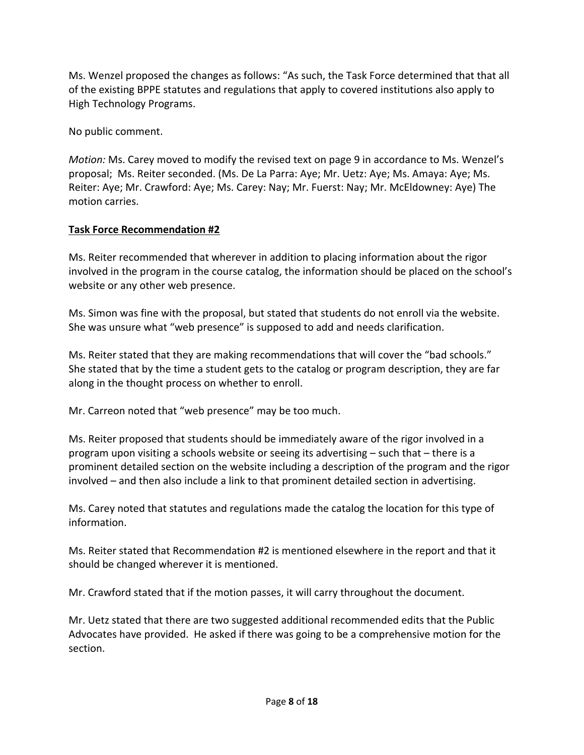Ms. Wenzel proposed the changes as follows: "As such, the Task Force determined that that all of the existing BPPE statutes and regulations that apply to covered institutions also apply to High Technology Programs.

No public comment.

*Motion:* Ms. Carey moved to modify the revised text on page 9 in accordance to Ms. Wenzel's proposal; Ms. Reiter seconded. (Ms. De La Parra: Aye; Mr. Uetz: Aye; Ms. Amaya: Aye; Ms. Reiter: Aye; Mr. Crawford: Aye; Ms. Carey: Nay; Mr. Fuerst: Nay; Mr. McEldowney: Aye) The motion carries.

## **Task Force Recommendation #2**

Ms. Reiter recommended that wherever in addition to placing information about the rigor involved in the program in the course catalog, the information should be placed on the school's website or any other web presence.

Ms. Simon was fine with the proposal, but stated that students do not enroll via the website. She was unsure what "web presence" is supposed to add and needs clarification.

Ms. Reiter stated that they are making recommendations that will cover the "bad schools." She stated that by the time a student gets to the catalog or program description, they are far along in the thought process on whether to enroll.

Mr. Carreon noted that "web presence" may be too much.

Ms. Reiter proposed that students should be immediately aware of the rigor involved in a program upon visiting a schools website or seeing its advertising – such that – there is a prominent detailed section on the website including a description of the program and the rigor involved – and then also include a link to that prominent detailed section in advertising.

Ms. Carey noted that statutes and regulations made the catalog the location for this type of information.

Ms. Reiter stated that Recommendation #2 is mentioned elsewhere in the report and that it should be changed wherever it is mentioned.

Mr. Crawford stated that if the motion passes, it will carry throughout the document.

Mr. Uetz stated that there are two suggested additional recommended edits that the Public Advocates have provided. He asked if there was going to be a comprehensive motion for the section.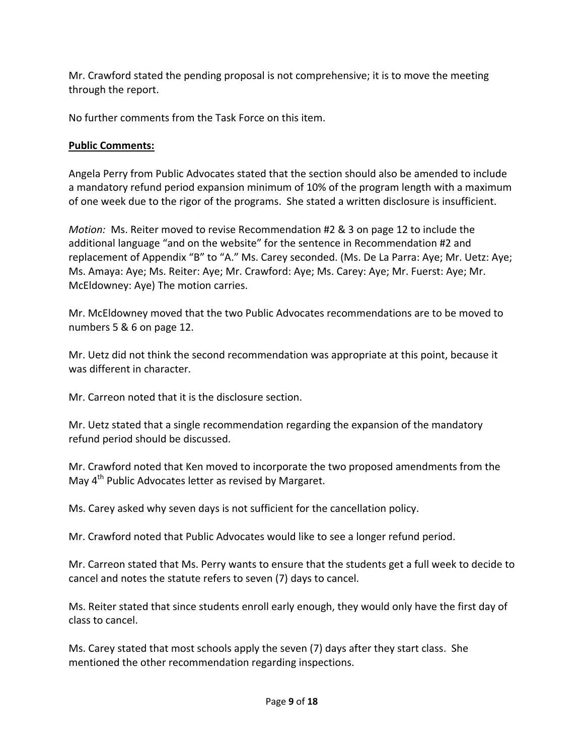Mr. Crawford stated the pending proposal is not comprehensive; it is to move the meeting through the report.

No further comments from the Task Force on this item.

# **Public Comments:**

Angela Perry from Public Advocates stated that the section should also be amended to include a mandatory refund period expansion minimum of 10% of the program length with a maximum of one week due to the rigor of the programs. She stated a written disclosure is insufficient.

*Motion:* Ms. Reiter moved to revise Recommendation #2 & 3 on page 12 to include the additional language "and on the website" for the sentence in Recommendation #2 and replacement of Appendix "B" to "A." Ms. Carey seconded. (Ms. De La Parra: Aye; Mr. Uetz: Aye; Ms. Amaya: Aye; Ms. Reiter: Aye; Mr. Crawford: Aye; Ms. Carey: Aye; Mr. Fuerst: Aye; Mr. McEldowney: Aye) The motion carries.

Mr. McEldowney moved that the two Public Advocates recommendations are to be moved to numbers 5 & 6 on page 12.

Mr. Uetz did not think the second recommendation was appropriate at this point, because it was different in character.

Mr. Carreon noted that it is the disclosure section.

Mr. Uetz stated that a single recommendation regarding the expansion of the mandatory refund period should be discussed.

Mr. Crawford noted that Ken moved to incorporate the two proposed amendments from the May 4<sup>th</sup> Public Advocates letter as revised by Margaret.

Ms. Carey asked why seven days is not sufficient for the cancellation policy.

Mr. Crawford noted that Public Advocates would like to see a longer refund period.

Mr. Carreon stated that Ms. Perry wants to ensure that the students get a full week to decide to cancel and notes the statute refers to seven (7) days to cancel.

Ms. Reiter stated that since students enroll early enough, they would only have the first day of class to cancel.

Ms. Carey stated that most schools apply the seven (7) days after they start class. She mentioned the other recommendation regarding inspections.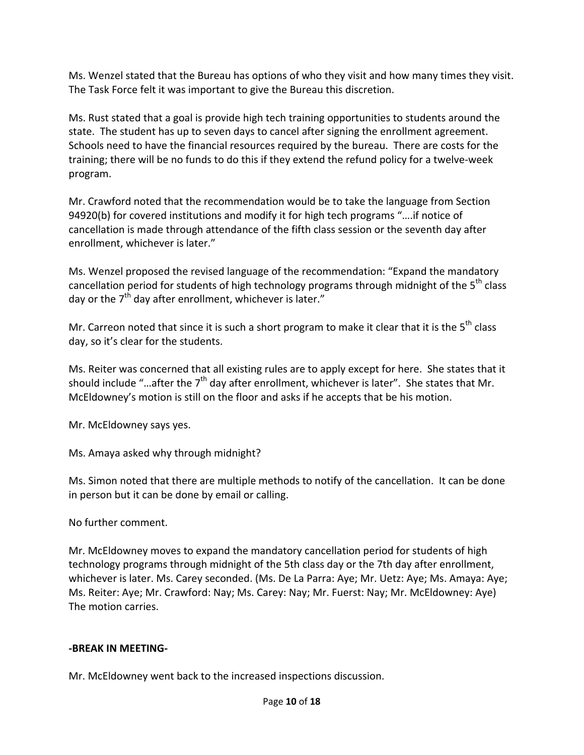Ms. Wenzel stated that the Bureau has options of who they visit and how many times they visit. The Task Force felt it was important to give the Bureau this discretion.

Ms. Rust stated that a goal is provide high tech training opportunities to students around the state. The student has up to seven days to cancel after signing the enrollment agreement. Schools need to have the financial resources required by the bureau. There are costs for the training; there will be no funds to do this if they extend the refund policy for a twelve-week program.

Mr. Crawford noted that the recommendation would be to take the language from Section 94920(b) for covered institutions and modify it for high tech programs "….if notice of cancellation is made through attendance of the fifth class session or the seventh day after enrollment, whichever is later."

Ms. Wenzel proposed the revised language of the recommendation: "Expand the mandatory cancellation period for students of high technology programs through midnight of the 5<sup>th</sup> class day or the  $7<sup>th</sup>$  day after enrollment, whichever is later."

Mr. Carreon noted that since it is such a short program to make it clear that it is the  $5<sup>th</sup>$  class day, so it's clear for the students.

Ms. Reiter was concerned that all existing rules are to apply except for here. She states that it should include "...after the  $7<sup>th</sup>$  day after enrollment, whichever is later". She states that Mr. McEldowney's motion is still on the floor and asks if he accepts that be his motion.

Mr. McEldowney says yes.

Ms. Amaya asked why through midnight?

Ms. Simon noted that there are multiple methods to notify of the cancellation. It can be done in person but it can be done by email or calling.

No further comment.

Mr. McEldowney moves to expand the mandatory cancellation period for students of high technology programs through midnight of the 5th class day or the 7th day after enrollment, whichever is later. Ms. Carey seconded. (Ms. De La Parra: Aye; Mr. Uetz: Aye; Ms. Amaya: Aye; Ms. Reiter: Aye; Mr. Crawford: Nay; Ms. Carey: Nay; Mr. Fuerst: Nay; Mr. McEldowney: Aye) The motion carries.

## **-BREAK IN MEETING-**

Mr. McEldowney went back to the increased inspections discussion.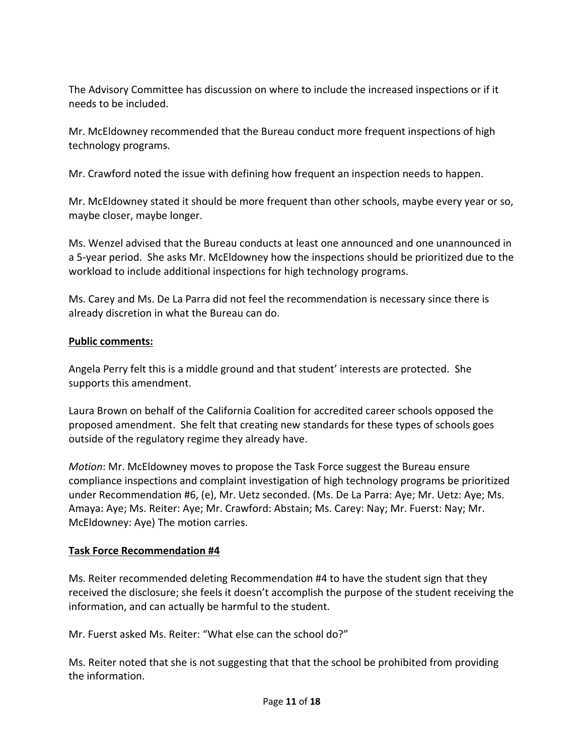The Advisory Committee has discussion on where to include the increased inspections or if it needs to be included.

Mr. McEldowney recommended that the Bureau conduct more frequent inspections of high technology programs.

Mr. Crawford noted the issue with defining how frequent an inspection needs to happen.

Mr. McEldowney stated it should be more frequent than other schools, maybe every year or so, maybe closer, maybe longer.

Ms. Wenzel advised that the Bureau conducts at least one announced and one unannounced in a 5-year period. She asks Mr. McEldowney how the inspections should be prioritized due to the workload to include additional inspections for high technology programs.

Ms. Carey and Ms. De La Parra did not feel the recommendation is necessary since there is already discretion in what the Bureau can do.

## **Public comments:**

Angela Perry felt this is a middle ground and that student' interests are protected. She supports this amendment.

Laura Brown on behalf of the California Coalition for accredited career schools opposed the proposed amendment. She felt that creating new standards for these types of schools goes outside of the regulatory regime they already have.

*Motion*: Mr. McEldowney moves to propose the Task Force suggest the Bureau ensure compliance inspections and complaint investigation of high technology programs be prioritized under Recommendation #6, (e), Mr. Uetz seconded. (Ms. De La Parra: Aye; Mr. Uetz: Aye; Ms. Amaya: Aye; Ms. Reiter: Aye; Mr. Crawford: Abstain; Ms. Carey: Nay; Mr. Fuerst: Nay; Mr. McEldowney: Aye) The motion carries.

## **Task Force Recommendation #4**

Ms. Reiter recommended deleting Recommendation #4 to have the student sign that they received the disclosure; she feels it doesn't accomplish the purpose of the student receiving the information, and can actually be harmful to the student.

Mr. Fuerst asked Ms. Reiter: "What else can the school do?"

Ms. Reiter noted that she is not suggesting that that the school be prohibited from providing the information.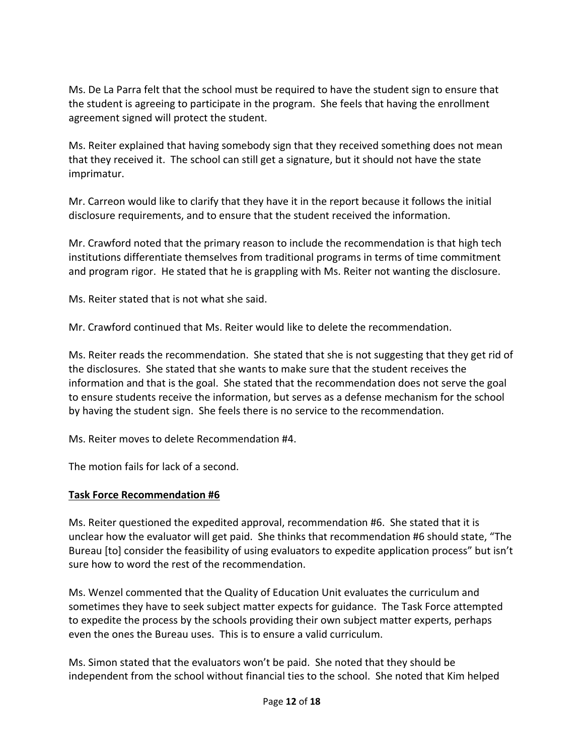Ms. De La Parra felt that the school must be required to have the student sign to ensure that the student is agreeing to participate in the program. She feels that having the enrollment agreement signed will protect the student.

Ms. Reiter explained that having somebody sign that they received something does not mean that they received it. The school can still get a signature, but it should not have the state imprimatur.

Mr. Carreon would like to clarify that they have it in the report because it follows the initial disclosure requirements, and to ensure that the student received the information.

Mr. Crawford noted that the primary reason to include the recommendation is that high tech institutions differentiate themselves from traditional programs in terms of time commitment and program rigor. He stated that he is grappling with Ms. Reiter not wanting the disclosure.

Ms. Reiter stated that is not what she said.

Mr. Crawford continued that Ms. Reiter would like to delete the recommendation.

Ms. Reiter reads the recommendation. She stated that she is not suggesting that they get rid of the disclosures. She stated that she wants to make sure that the student receives the information and that is the goal. She stated that the recommendation does not serve the goal to ensure students receive the information, but serves as a defense mechanism for the school by having the student sign. She feels there is no service to the recommendation.

Ms. Reiter moves to delete Recommendation #4.

The motion fails for lack of a second.

## **Task Force Recommendation #6**

Ms. Reiter questioned the expedited approval, recommendation #6. She stated that it is unclear how the evaluator will get paid. She thinks that recommendation #6 should state, "The Bureau [to] consider the feasibility of using evaluators to expedite application process" but isn't sure how to word the rest of the recommendation.

Ms. Wenzel commented that the Quality of Education Unit evaluates the curriculum and sometimes they have to seek subject matter expects for guidance. The Task Force attempted to expedite the process by the schools providing their own subject matter experts, perhaps even the ones the Bureau uses. This is to ensure a valid curriculum.

Ms. Simon stated that the evaluators won't be paid. She noted that they should be independent from the school without financial ties to the school. She noted that Kim helped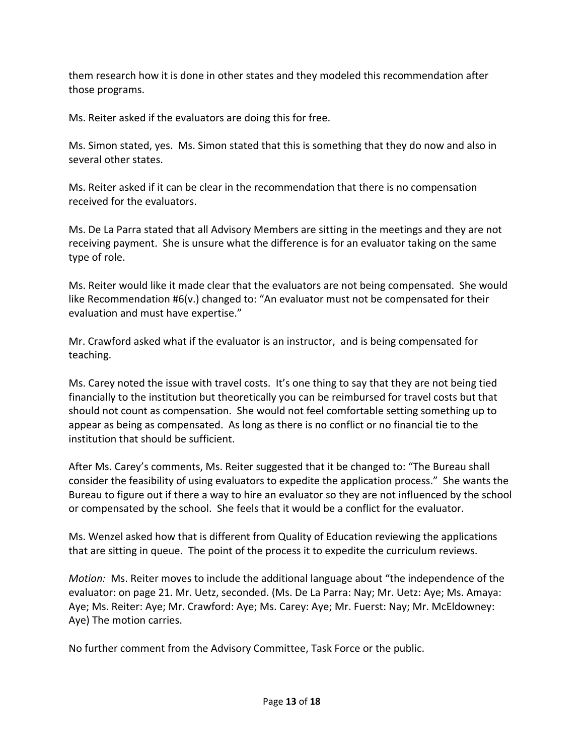them research how it is done in other states and they modeled this recommendation after those programs.

Ms. Reiter asked if the evaluators are doing this for free.

Ms. Simon stated, yes. Ms. Simon stated that this is something that they do now and also in several other states.

Ms. Reiter asked if it can be clear in the recommendation that there is no compensation received for the evaluators.

Ms. De La Parra stated that all Advisory Members are sitting in the meetings and they are not receiving payment. She is unsure what the difference is for an evaluator taking on the same type of role.

Ms. Reiter would like it made clear that the evaluators are not being compensated. She would like Recommendation #6(v.) changed to: "An evaluator must not be compensated for their evaluation and must have expertise."

Mr. Crawford asked what if the evaluator is an instructor, and is being compensated for teaching.

Ms. Carey noted the issue with travel costs. It's one thing to say that they are not being tied financially to the institution but theoretically you can be reimbursed for travel costs but that should not count as compensation. She would not feel comfortable setting something up to appear as being as compensated. As long as there is no conflict or no financial tie to the institution that should be sufficient.

After Ms. Carey's comments, Ms. Reiter suggested that it be changed to: "The Bureau shall consider the feasibility of using evaluators to expedite the application process." She wants the Bureau to figure out if there a way to hire an evaluator so they are not influenced by the school or compensated by the school. She feels that it would be a conflict for the evaluator.

Ms. Wenzel asked how that is different from Quality of Education reviewing the applications that are sitting in queue. The point of the process it to expedite the curriculum reviews.

*Motion:* Ms. Reiter moves to include the additional language about "the independence of the evaluator: on page 21. Mr. Uetz, seconded. (Ms. De La Parra: Nay; Mr. Uetz: Aye; Ms. Amaya: Aye; Ms. Reiter: Aye; Mr. Crawford: Aye; Ms. Carey: Aye; Mr. Fuerst: Nay; Mr. McEldowney: Aye) The motion carries.

No further comment from the Advisory Committee, Task Force or the public.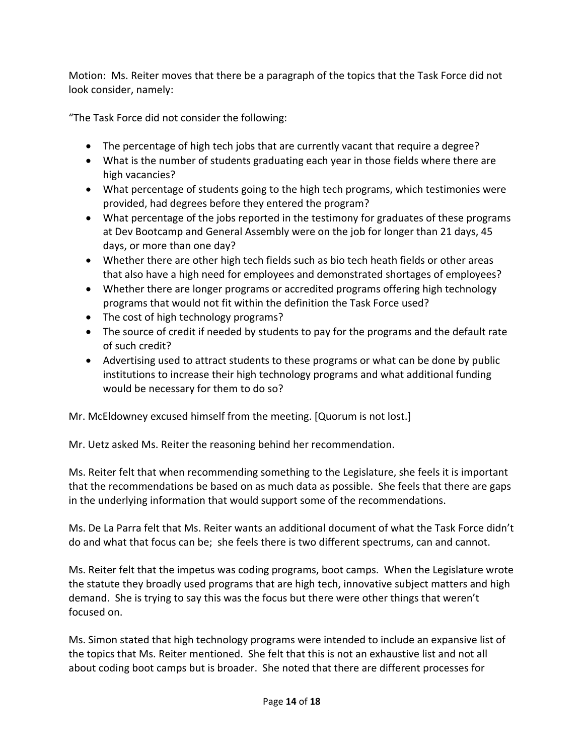Motion: Ms. Reiter moves that there be a paragraph of the topics that the Task Force did not look consider, namely:

"The Task Force did not consider the following:

- The percentage of high tech jobs that are currently vacant that require a degree?
- What is the number of students graduating each year in those fields where there are high vacancies?
- What percentage of students going to the high tech programs, which testimonies were provided, had degrees before they entered the program?
- What percentage of the jobs reported in the testimony for graduates of these programs at Dev Bootcamp and General Assembly were on the job for longer than 21 days, 45 days, or more than one day?
- Whether there are other high tech fields such as bio tech heath fields or other areas that also have a high need for employees and demonstrated shortages of employees?
- Whether there are longer programs or accredited programs offering high technology programs that would not fit within the definition the Task Force used?
- The cost of high technology programs?
- The source of credit if needed by students to pay for the programs and the default rate of such credit?
- Advertising used to attract students to these programs or what can be done by public institutions to increase their high technology programs and what additional funding would be necessary for them to do so?

Mr. McEldowney excused himself from the meeting. [Quorum is not lost.]

Mr. Uetz asked Ms. Reiter the reasoning behind her recommendation.

Ms. Reiter felt that when recommending something to the Legislature, she feels it is important that the recommendations be based on as much data as possible. She feels that there are gaps in the underlying information that would support some of the recommendations.

Ms. De La Parra felt that Ms. Reiter wants an additional document of what the Task Force didn't do and what that focus can be; she feels there is two different spectrums, can and cannot.

Ms. Reiter felt that the impetus was coding programs, boot camps. When the Legislature wrote the statute they broadly used programs that are high tech, innovative subject matters and high demand. She is trying to say this was the focus but there were other things that weren't focused on.

Ms. Simon stated that high technology programs were intended to include an expansive list of the topics that Ms. Reiter mentioned. She felt that this is not an exhaustive list and not all about coding boot camps but is broader. She noted that there are different processes for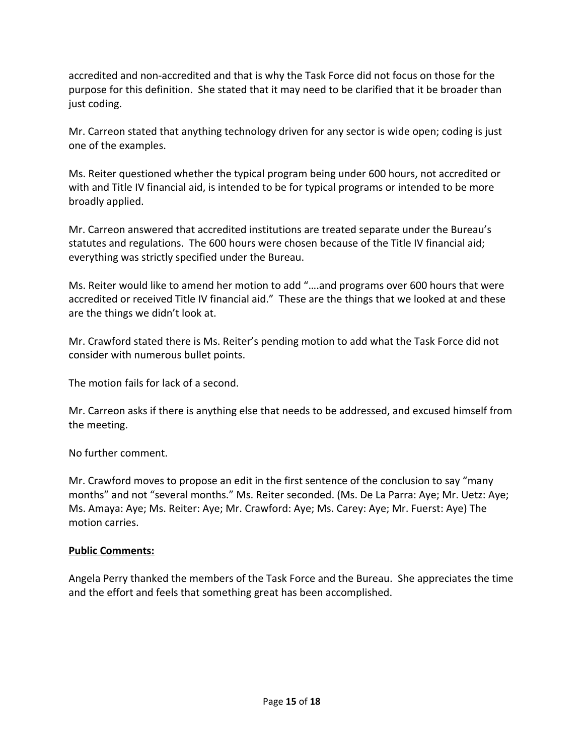accredited and non-accredited and that is why the Task Force did not focus on those for the purpose for this definition. She stated that it may need to be clarified that it be broader than just coding.

Mr. Carreon stated that anything technology driven for any sector is wide open; coding is just one of the examples.

Ms. Reiter questioned whether the typical program being under 600 hours, not accredited or with and Title IV financial aid, is intended to be for typical programs or intended to be more broadly applied.

Mr. Carreon answered that accredited institutions are treated separate under the Bureau's statutes and regulations. The 600 hours were chosen because of the Title IV financial aid; everything was strictly specified under the Bureau.

Ms. Reiter would like to amend her motion to add "….and programs over 600 hours that were accredited or received Title IV financial aid." These are the things that we looked at and these are the things we didn't look at.

Mr. Crawford stated there is Ms. Reiter's pending motion to add what the Task Force did not consider with numerous bullet points.

The motion fails for lack of a second.

Mr. Carreon asks if there is anything else that needs to be addressed, and excused himself from the meeting.

No further comment.

Mr. Crawford moves to propose an edit in the first sentence of the conclusion to say "many months" and not "several months." Ms. Reiter seconded. (Ms. De La Parra: Aye; Mr. Uetz: Aye; Ms. Amaya: Aye; Ms. Reiter: Aye; Mr. Crawford: Aye; Ms. Carey: Aye; Mr. Fuerst: Aye) The motion carries.

## **Public Comments:**

Angela Perry thanked the members of the Task Force and the Bureau. She appreciates the time and the effort and feels that something great has been accomplished.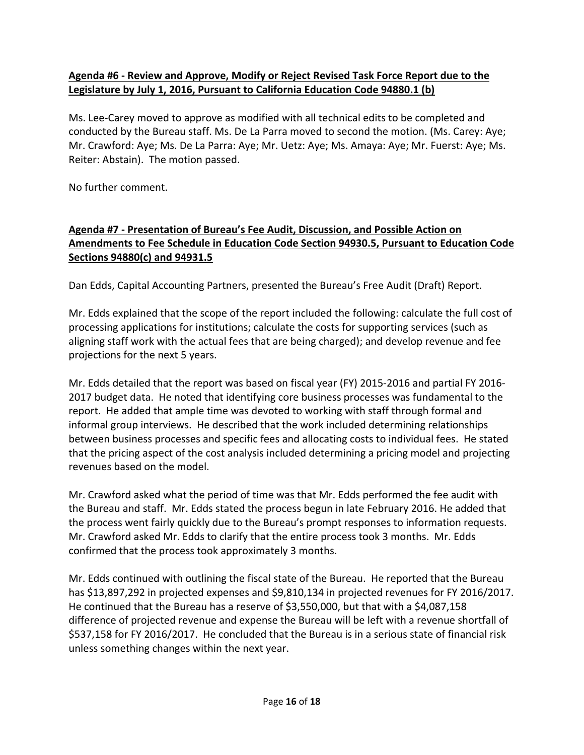## **Agenda #6 - Review and Approve, Modify or Reject Revised Task Force Report due to the Legislature by July 1, 2016, Pursuant to California Education Code 94880.1 (b)**

Ms. Lee-Carey moved to approve as modified with all technical edits to be completed and conducted by the Bureau staff. Ms. De La Parra moved to second the motion. (Ms. Carey: Aye; Mr. Crawford: Aye; Ms. De La Parra: Aye; Mr. Uetz: Aye; Ms. Amaya: Aye; Mr. Fuerst: Aye; Ms. Reiter: Abstain). The motion passed.

No further comment.

# **Agenda #7 - Presentation of Bureau's Fee Audit, Discussion, and Possible Action on Amendments to Fee Schedule in Education Code Section 94930.5, Pursuant to Education Code Sections 94880(c) and 94931.5**

Dan Edds, Capital Accounting Partners, presented the Bureau's Free Audit (Draft) Report.

Mr. Edds explained that the scope of the report included the following: calculate the full cost of processing applications for institutions; calculate the costs for supporting services (such as aligning staff work with the actual fees that are being charged); and develop revenue and fee projections for the next 5 years.

Mr. Edds detailed that the report was based on fiscal year (FY) 2015-2016 and partial FY 2016- 2017 budget data. He noted that identifying core business processes was fundamental to the report. He added that ample time was devoted to working with staff through formal and informal group interviews. He described that the work included determining relationships between business processes and specific fees and allocating costs to individual fees. He stated that the pricing aspect of the cost analysis included determining a pricing model and projecting revenues based on the model.

Mr. Crawford asked what the period of time was that Mr. Edds performed the fee audit with the Bureau and staff. Mr. Edds stated the process begun in late February 2016. He added that the process went fairly quickly due to the Bureau's prompt responses to information requests. Mr. Crawford asked Mr. Edds to clarify that the entire process took 3 months. Mr. Edds confirmed that the process took approximately 3 months.

Mr. Edds continued with outlining the fiscal state of the Bureau. He reported that the Bureau has \$13,897,292 in projected expenses and \$9,810,134 in projected revenues for FY 2016/2017. He continued that the Bureau has a reserve of \$3,550,000, but that with a \$4,087,158 difference of projected revenue and expense the Bureau will be left with a revenue shortfall of \$537,158 for FY 2016/2017. He concluded that the Bureau is in a serious state of financial risk unless something changes within the next year.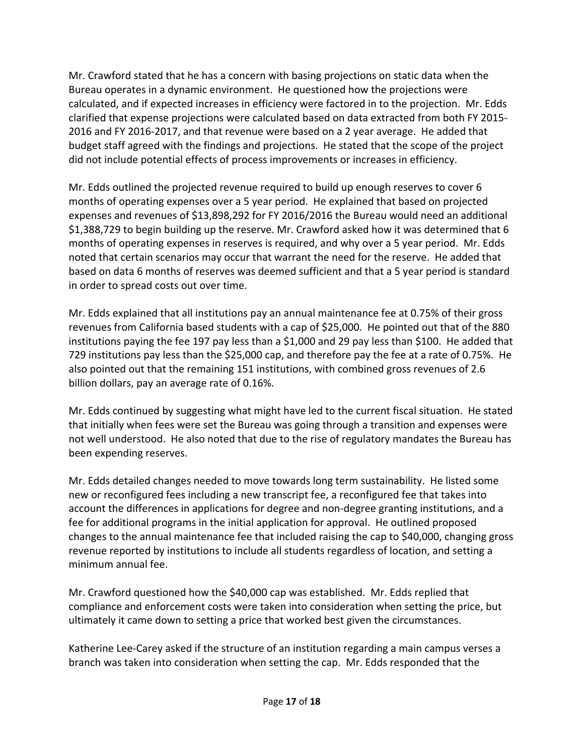Mr. Crawford stated that he has a concern with basing projections on static data when the Bureau operates in a dynamic environment. He questioned how the projections were calculated, and if expected increases in efficiency were factored in to the projection. Mr. Edds clarified that expense projections were calculated based on data extracted from both FY 2015- 2016 and FY 2016-2017, and that revenue were based on a 2 year average. He added that budget staff agreed with the findings and projections. He stated that the scope of the project did not include potential effects of process improvements or increases in efficiency.

Mr. Edds outlined the projected revenue required to build up enough reserves to cover 6 months of operating expenses over a 5 year period. He explained that based on projected expenses and revenues of \$13,898,292 for FY 2016/2016 the Bureau would need an additional \$1,388,729 to begin building up the reserve. Mr. Crawford asked how it was determined that 6 months of operating expenses in reserves is required, and why over a 5 year period. Mr. Edds noted that certain scenarios may occur that warrant the need for the reserve. He added that based on data 6 months of reserves was deemed sufficient and that a 5 year period is standard in order to spread costs out over time.

Mr. Edds explained that all institutions pay an annual maintenance fee at 0.75% of their gross revenues from California based students with a cap of \$25,000. He pointed out that of the 880 institutions paying the fee 197 pay less than a \$1,000 and 29 pay less than \$100. He added that 729 institutions pay less than the \$25,000 cap, and therefore pay the fee at a rate of 0.75%. He also pointed out that the remaining 151 institutions, with combined gross revenues of 2.6 billion dollars, pay an average rate of 0.16%.

Mr. Edds continued by suggesting what might have led to the current fiscal situation. He stated that initially when fees were set the Bureau was going through a transition and expenses were not well understood. He also noted that due to the rise of regulatory mandates the Bureau has been expending reserves.

Mr. Edds detailed changes needed to move towards long term sustainability. He listed some new or reconfigured fees including a new transcript fee, a reconfigured fee that takes into account the differences in applications for degree and non-degree granting institutions, and a fee for additional programs in the initial application for approval. He outlined proposed changes to the annual maintenance fee that included raising the cap to \$40,000, changing gross revenue reported by institutions to include all students regardless of location, and setting a minimum annual fee.

Mr. Crawford questioned how the \$40,000 cap was established. Mr. Edds replied that compliance and enforcement costs were taken into consideration when setting the price, but ultimately it came down to setting a price that worked best given the circumstances.

Katherine Lee-Carey asked if the structure of an institution regarding a main campus verses a branch was taken into consideration when setting the cap. Mr. Edds responded that the